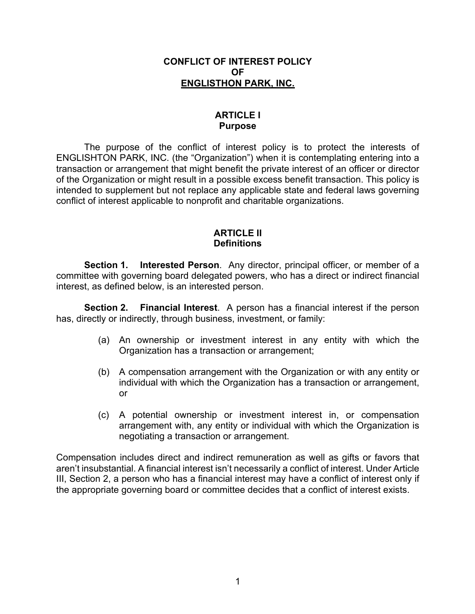#### **CONFLICT OF INTEREST POLICY OF ENGLISTHON PARK, INC.**

### **ARTICLE I Purpose**

The purpose of the conflict of interest policy is to protect the interests of ENGLISHTON PARK, INC. (the "Organization") when it is contemplating entering into a transaction or arrangement that might benefit the private interest of an officer or director of the Organization or might result in a possible excess benefit transaction. This policy is intended to supplement but not replace any applicable state and federal laws governing conflict of interest applicable to nonprofit and charitable organizations.

#### **ARTICLE II Definitions**

**Section 1. Interested Person**. Any director, principal officer, or member of a committee with governing board delegated powers, who has a direct or indirect financial interest, as defined below, is an interested person.

**Section 2. Financial Interest**. A person has a financial interest if the person has, directly or indirectly, through business, investment, or family:

- (a) An ownership or investment interest in any entity with which the Organization has a transaction or arrangement;
- (b) A compensation arrangement with the Organization or with any entity or individual with which the Organization has a transaction or arrangement, or
- (c) A potential ownership or investment interest in, or compensation arrangement with, any entity or individual with which the Organization is negotiating a transaction or arrangement.

Compensation includes direct and indirect remuneration as well as gifts or favors that aren't insubstantial. A financial interest isn't necessarily a conflict of interest. Under Article III, Section 2, a person who has a financial interest may have a conflict of interest only if the appropriate governing board or committee decides that a conflict of interest exists.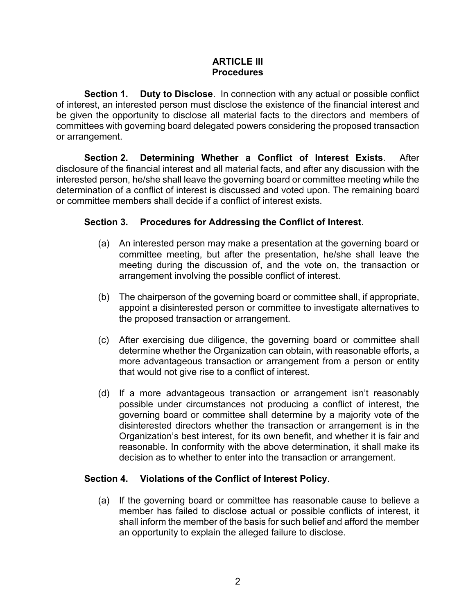#### **ARTICLE III Procedures**

**Section 1. Duty to Disclose**. In connection with any actual or possible conflict of interest, an interested person must disclose the existence of the financial interest and be given the opportunity to disclose all material facts to the directors and members of committees with governing board delegated powers considering the proposed transaction or arrangement.

**Section 2. Determining Whether a Conflict of Interest Exists**.After disclosure of the financial interest and all material facts, and after any discussion with the interested person, he/she shall leave the governing board or committee meeting while the determination of a conflict of interest is discussed and voted upon. The remaining board or committee members shall decide if a conflict of interest exists.

# **Section 3. Procedures for Addressing the Conflict of Interest**.

- (a) An interested person may make a presentation at the governing board or committee meeting, but after the presentation, he/she shall leave the meeting during the discussion of, and the vote on, the transaction or arrangement involving the possible conflict of interest.
- (b) The chairperson of the governing board or committee shall, if appropriate, appoint a disinterested person or committee to investigate alternatives to the proposed transaction or arrangement.
- (c) After exercising due diligence, the governing board or committee shall determine whether the Organization can obtain, with reasonable efforts, a more advantageous transaction or arrangement from a person or entity that would not give rise to a conflict of interest.
- (d) If a more advantageous transaction or arrangement isn't reasonably possible under circumstances not producing a conflict of interest, the governing board or committee shall determine by a majority vote of the disinterested directors whether the transaction or arrangement is in the Organization's best interest, for its own benefit, and whether it is fair and reasonable. In conformity with the above determination, it shall make its decision as to whether to enter into the transaction or arrangement.

## **Section 4. Violations of the Conflict of Interest Policy**.

(a) If the governing board or committee has reasonable cause to believe a member has failed to disclose actual or possible conflicts of interest, it shall inform the member of the basis for such belief and afford the member an opportunity to explain the alleged failure to disclose.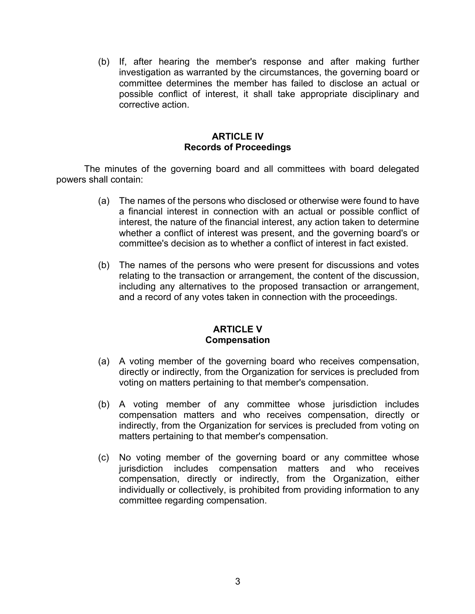(b) If, after hearing the member's response and after making further investigation as warranted by the circumstances, the governing board or committee determines the member has failed to disclose an actual or possible conflict of interest, it shall take appropriate disciplinary and corrective action.

### **ARTICLE IV Records of Proceedings**

The minutes of the governing board and all committees with board delegated powers shall contain:

- (a) The names of the persons who disclosed or otherwise were found to have a financial interest in connection with an actual or possible conflict of interest, the nature of the financial interest, any action taken to determine whether a conflict of interest was present, and the governing board's or committee's decision as to whether a conflict of interest in fact existed.
- (b) The names of the persons who were present for discussions and votes relating to the transaction or arrangement, the content of the discussion, including any alternatives to the proposed transaction or arrangement, and a record of any votes taken in connection with the proceedings.

#### **ARTICLE V Compensation**

- (a) A voting member of the governing board who receives compensation, directly or indirectly, from the Organization for services is precluded from voting on matters pertaining to that member's compensation.
- (b) A voting member of any committee whose jurisdiction includes compensation matters and who receives compensation, directly or indirectly, from the Organization for services is precluded from voting on matters pertaining to that member's compensation.
- (c) No voting member of the governing board or any committee whose jurisdiction includes compensation matters and who receives compensation, directly or indirectly, from the Organization, either individually or collectively, is prohibited from providing information to any committee regarding compensation.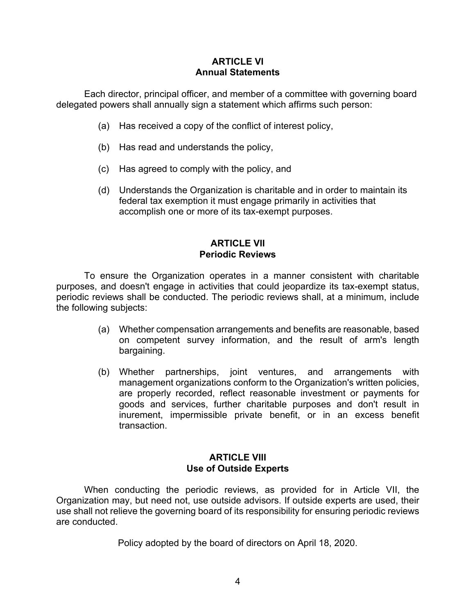### **ARTICI F VI Annual Statements**

Each director, principal officer, and member of a committee with governing board delegated powers shall annually sign a statement which affirms such person:

- (a) Has received a copy of the conflict of interest policy,
- (b) Has read and understands the policy,
- (c) Has agreed to comply with the policy, and
- (d) Understands the Organization is charitable and in order to maintain its federal tax exemption it must engage primarily in activities that accomplish one or more of its tax-exempt purposes.

### **ARTICLE VII Periodic Reviews**

To ensure the Organization operates in a manner consistent with charitable purposes, and doesn't engage in activities that could jeopardize its tax-exempt status, periodic reviews shall be conducted. The periodic reviews shall, at a minimum, include the following subjects:

- (a) Whether compensation arrangements and benefits are reasonable, based on competent survey information, and the result of arm's length bargaining.
- (b) Whether partnerships, joint ventures, and arrangements with management organizations conform to the Organization's written policies, are properly recorded, reflect reasonable investment or payments for goods and services, further charitable purposes and don't result in inurement, impermissible private benefit, or in an excess benefit transaction.

## **ARTICLE VIII Use of Outside Experts**

When conducting the periodic reviews, as provided for in Article VII, the Organization may, but need not, use outside advisors. If outside experts are used, their use shall not relieve the governing board of its responsibility for ensuring periodic reviews are conducted.

Policy adopted by the board of directors on April 18, 2020.